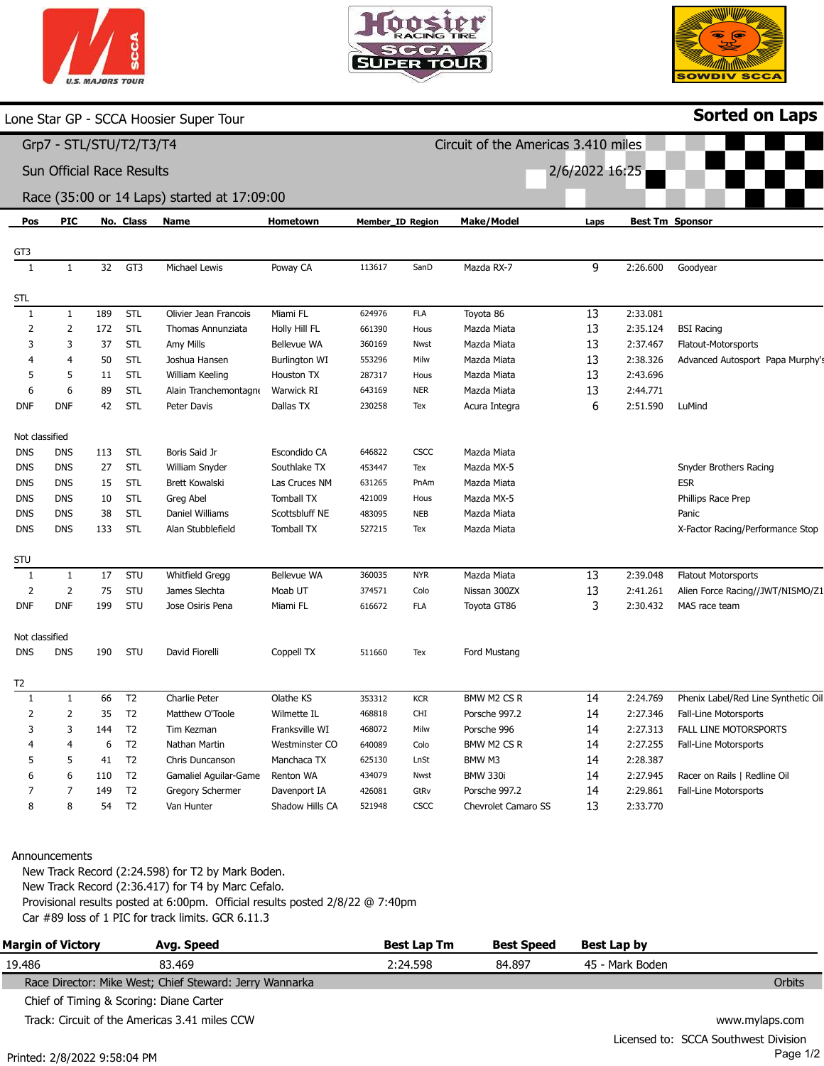|  | <b>U.S. MAJORS TOUR</b> |  |
|--|-------------------------|--|



Circuit of the Americas 3.410 miles

2/6/2022 16:25



Sorted on Laps

Lone Star GP - SCCA Hoosier Super Tour

## Grp7 - STL/STU/T2/T3/T4

Sun Official Race Results

## Race (35:00 or 14 Laps) started at 17:09:00

| Pos            | <b>PIC</b>     |     | No. Class      | <b>Name</b>             | Hometown             | <b>Member_ID Region</b> |             | <b>Make/Model</b>          | Laps            |          | <b>Best Tm Sponsor</b>              |
|----------------|----------------|-----|----------------|-------------------------|----------------------|-------------------------|-------------|----------------------------|-----------------|----------|-------------------------------------|
| GT3            |                |     |                |                         |                      |                         |             |                            |                 |          |                                     |
| 1              | $\mathbf{1}$   | 32  | GT3            | Michael Lewis           | Poway CA             | 113617                  | SanD        | Mazda RX-7                 | 9               | 2:26.600 | Goodyear                            |
|                |                |     |                |                         |                      |                         |             |                            |                 |          |                                     |
| STL            |                |     |                |                         |                      |                         |             |                            |                 |          |                                     |
| $\mathbf{1}$   | $\mathbf{1}$   | 189 | <b>STL</b>     | Olivier Jean Francois   | Miami FL             | 624976                  | <b>FLA</b>  | Toyota 86                  | 13              | 2:33.081 |                                     |
| 2              | $\overline{2}$ | 172 | STL            | Thomas Annunziata       | Holly Hill FL        | 661390                  | Hous        | Mazda Miata                | 13              | 2:35.124 | <b>BSI Racing</b>                   |
| 3              | 3              | 37  | STL            | Amy Mills               | Bellevue WA          | 360169                  | Nwst        | Mazda Miata                | 13              | 2:37.467 | Flatout-Motorsports                 |
| 4              | $\overline{4}$ | 50  | <b>STL</b>     | Joshua Hansen           | <b>Burlington WI</b> | 553296                  | Milw        | Mazda Miata                | 13              | 2:38.326 | Advanced Autosport Papa Murphy's    |
| 5              | 5              | 11  | STL            | William Keeling         | Houston TX           | 287317                  | Hous        | Mazda Miata                | 13              | 2:43.696 |                                     |
| 6              | 6              | 89  | <b>STL</b>     | Alain Tranchemontagne   | Warwick RI           | 643169                  | <b>NER</b>  | Mazda Miata                | 13              | 2:44.771 |                                     |
| <b>DNF</b>     | <b>DNF</b>     | 42  | <b>STL</b>     | Peter Davis             | Dallas TX            | 230258                  | Tex         | Acura Integra              | 6               | 2:51.590 | LuMind                              |
| Not classified |                |     |                |                         |                      |                         |             |                            |                 |          |                                     |
| DNS            | <b>DNS</b>     | 113 | STL            | Boris Said Jr           | Escondido CA         | 646822                  | <b>CSCC</b> | Mazda Miata                |                 |          |                                     |
| dns            | <b>DNS</b>     | 27  | <b>STL</b>     | William Snyder          | Southlake TX         | 453447                  | Tex         | Mazda MX-5                 |                 |          | Snyder Brothers Racing              |
| dns            | <b>DNS</b>     | 15  | <b>STL</b>     | <b>Brett Kowalski</b>   | Las Cruces NM        | 631265                  | PnAm        | Mazda Miata                |                 |          | <b>ESR</b>                          |
| DNS            | <b>DNS</b>     | 10  | <b>STL</b>     | Greg Abel               | <b>Tomball TX</b>    | 421009                  | Hous        | Mazda MX-5                 |                 |          | Phillips Race Prep                  |
| DNS            | <b>DNS</b>     | 38  | <b>STL</b>     | Daniel Williams         | Scottsbluff NE       | 483095                  | <b>NEB</b>  | Mazda Miata                |                 |          | Panic                               |
| DNS            | <b>DNS</b>     | 133 | STL            | Alan Stubblefield       | <b>Tomball TX</b>    | 527215                  | Tex         | Mazda Miata                |                 |          | X-Factor Racing/Performance Stop    |
|                |                |     |                |                         |                      |                         |             |                            |                 |          |                                     |
| stu            |                |     |                |                         |                      |                         |             |                            |                 |          |                                     |
| 1              | $\mathbf{1}$   | 17  | STU            | <b>Whitfield Gregg</b>  | Bellevue WA          | 360035                  | <b>NYR</b>  | Mazda Miata                | $\overline{13}$ | 2:39.048 | <b>Flatout Motorsports</b>          |
| 2              | $\overline{2}$ | 75  | STU            | James Slechta           | Moab UT              | 374571                  | Colo        | Nissan 300ZX               | 13              | 2:41.261 | Alien Force Racing//JWT/NISMO/Z1    |
| DNF            | <b>DNF</b>     | 199 | STU            | Jose Osiris Pena        | Miami FL             | 616672                  | <b>FLA</b>  | Toyota GT86                | 3               | 2:30.432 | MAS race team                       |
| Not classified |                |     |                |                         |                      |                         |             |                            |                 |          |                                     |
| dns            | <b>DNS</b>     | 190 | STU            | David Fiorelli          | Coppell TX           | 511660                  | Tex         | Ford Mustang               |                 |          |                                     |
|                |                |     |                |                         |                      |                         |             |                            |                 |          |                                     |
| Т2             |                |     |                |                         |                      |                         |             |                            |                 |          |                                     |
| 1              | $\mathbf{1}$   | 66  | T <sub>2</sub> | Charlie Peter           | Olathe KS            | 353312                  | <b>KCR</b>  | BMW M2 CS R                | 14              | 2:24.769 | Phenix Label/Red Line Synthetic Oil |
| 2              | $\overline{2}$ | 35  | T <sub>2</sub> | Matthew O'Toole         | Wilmette IL          | 468818                  | CHI         | Porsche 997.2              | 14              | 2:27.346 | Fall-Line Motorsports               |
| 3              | 3              | 144 | T <sub>2</sub> | Tim Kezman              | Franksville WI       | 468072                  | Milw        | Porsche 996                | 14              | 2:27.313 | <b>FALL LINE MOTORSPORTS</b>        |
|                | $\overline{4}$ | 6   | T <sub>2</sub> | Nathan Martin           | Westminster CO       | 640089                  | Colo        | BMW M2 CS R                | 14              | 2:27.255 | Fall-Line Motorsports               |
| 5              | 5              | 41  | T <sub>2</sub> | Chris Duncanson         | Manchaca TX          | 625130                  | LnSt        | BMW M3                     | 14              | 2:28.387 |                                     |
| 6              | 6              | 110 | T <sub>2</sub> | Gamaliel Aguilar-Game   | Renton WA            | 434079                  | Nwst        | <b>BMW 330i</b>            | 14              | 2:27.945 | Racer on Rails   Redline Oil        |
| 7              | $\overline{7}$ | 149 | T <sub>2</sub> | <b>Gregory Schermer</b> | Davenport IA         | 426081                  | GtRv        | Porsche 997.2              | 14              | 2:29.861 | <b>Fall-Line Motorsports</b>        |
| 8              | 8              | 54  | T <sub>2</sub> | Van Hunter              | Shadow Hills CA      | 521948                  | <b>CSCC</b> | <b>Chevrolet Camaro SS</b> | 13              | 2:33.770 |                                     |

### Announcements

New Track Record (2:24.598) for T2 by Mark Boden. New Track Record (2:36.417) for T4 by Marc Cefalo. Provisional results posted at 6:00pm. Official results posted 2/8/22 @ 7:40pm Car #89 loss of 1 PIC for track limits. GCR 6.11.3

| <b>Margin of Victory</b> | Avg. Speed                                              | <b>Best Lap Tm</b> | <b>Best Speed</b> | Best Lap by     |                                      |
|--------------------------|---------------------------------------------------------|--------------------|-------------------|-----------------|--------------------------------------|
| 19.486                   | 83.469                                                  | 2:24.598           | 84.897            | 45 - Mark Boden |                                      |
|                          | Race Director: Mike West; Chief Steward: Jerry Wannarka |                    |                   |                 | Orbits                               |
|                          | Chief of Timing & Scoring: Diane Carter                 |                    |                   |                 |                                      |
|                          | Track: Circuit of the Americas 3.41 miles CCW           |                    |                   |                 | www.mylaps.com                       |
|                          |                                                         |                    |                   |                 | Licensed to: SCCA Southwest Division |